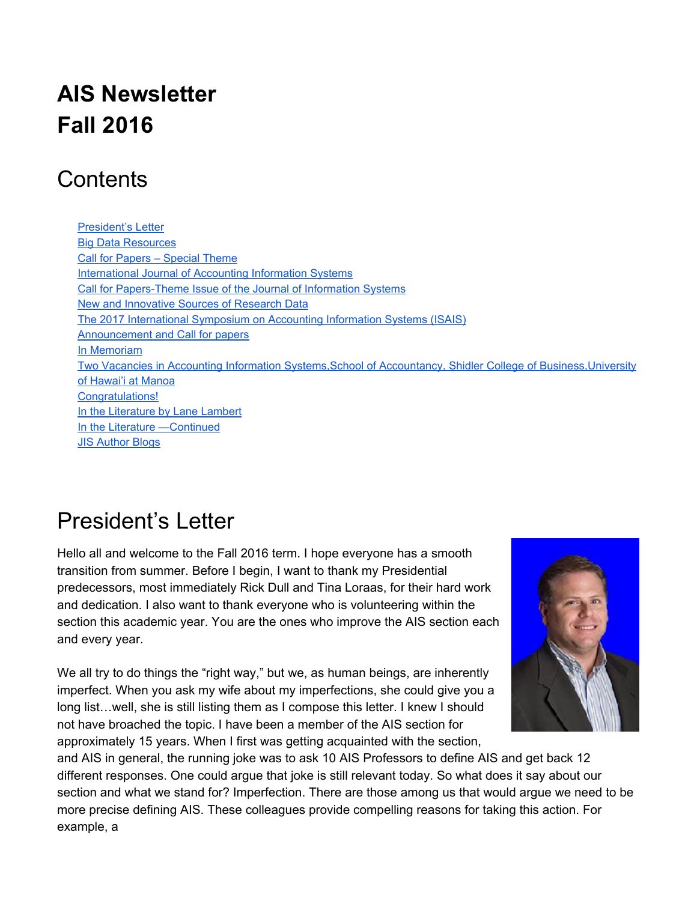# **AIS Newsletter Fall 2016**

### **Contents**

[President's Letter](#page-0-0) [Big Data Resources](#page-2-0) [Call for Papers – Special Theme](#page-3-0) [International Journal of Accounting Information Systems](#page-3-0) Call for Papers-Theme Issue of the Journal of Information Systems [New and Innovative Sources of Research Data](#page-4-0) [The 2017 International Symposium on Accounting Information Systems \(ISAIS\)](#page-5-0) [Announcement and Call for papers](#page-5-0) [In Memoriam](#page-7-0) [Two Vacancies in Accounting Information Systems,School of Accountancy, Shidler College of Business,University](#page-8-0) [of Hawai'i at Manoa](#page-8-0) [Congratulations!](#page-9-0) [In the Literature by Lane Lambert](#page-9-1) [In the Literature —Continued](#page-12-0) [JIS Author Blogs](#page-14-0)

# <span id="page-0-0"></span>President's Letter

Hello all and welcome to the Fall 2016 term. I hope everyone has a smooth transition from summer. Before I begin, I want to thank my Presidential predecessors, most immediately Rick Dull and Tina Loraas, for their hard work and dedication. I also want to thank everyone who is volunteering within the section this academic year. You are the ones who improve the AIS section each and every year.

We all try to do things the "right way," but we, as human beings, are inherently imperfect. When you ask my wife about my imperfections, she could give you a long list…well, she is still listing them as I compose this letter. I knew I should not have broached the topic. I have been a member of the AIS section for approximately 15 years. When I first was getting acquainted with the section,



and AIS in general, the running joke was to ask 10 AIS Professors to define AIS and get back 12 different responses. One could argue that joke is still relevant today. So what does it say about our section and what we stand for? Imperfection. There are those among us that would argue we need to be more precise defining AIS. These colleagues provide compelling reasons for taking this action. For example, a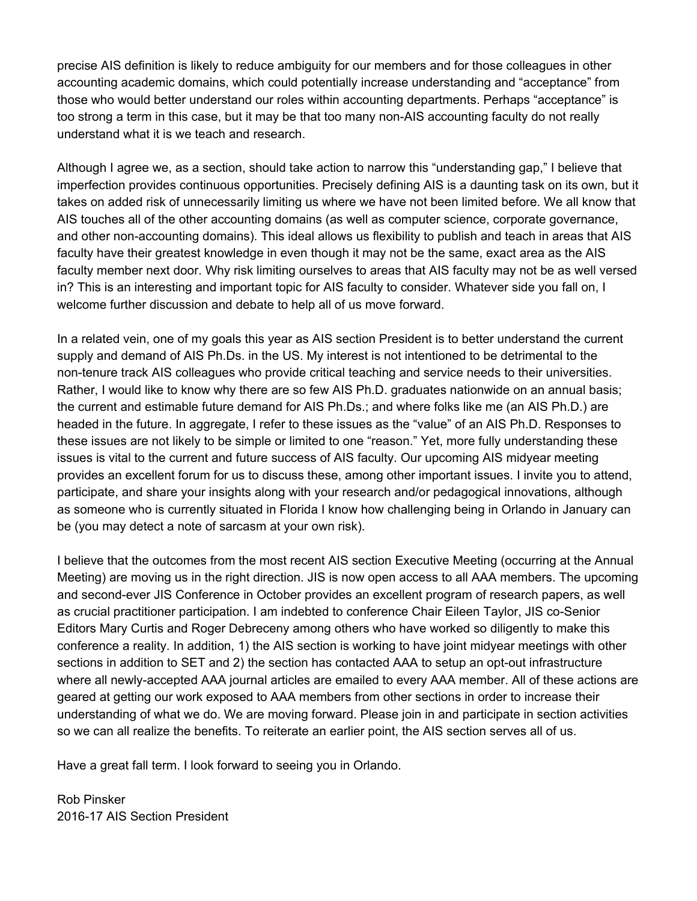precise AIS definition is likely to reduce ambiguity for our members and for those colleagues in other accounting academic domains, which could potentially increase understanding and "acceptance" from those who would better understand our roles within accounting departments. Perhaps "acceptance" is too strong a term in this case, but it may be that too many non-AIS accounting faculty do not really understand what it is we teach and research.

Although I agree we, as a section, should take action to narrow this "understanding gap," I believe that imperfection provides continuous opportunities. Precisely defining AIS is a daunting task on its own, but it takes on added risk of unnecessarily limiting us where we have not been limited before. We all know that AIS touches all of the other accounting domains (as well as computer science, corporate governance, and other non-accounting domains). This ideal allows us flexibility to publish and teach in areas that AIS faculty have their greatest knowledge in even though it may not be the same, exact area as the AIS faculty member next door. Why risk limiting ourselves to areas that AIS faculty may not be as well versed in? This is an interesting and important topic for AIS faculty to consider. Whatever side you fall on, I welcome further discussion and debate to help all of us move forward.

In a related vein, one of my goals this year as AIS section President is to better understand the current supply and demand of AIS Ph.Ds. in the US. My interest is not intentioned to be detrimental to the non-tenure track AIS colleagues who provide critical teaching and service needs to their universities. Rather, I would like to know why there are so few AIS Ph.D. graduates nationwide on an annual basis; the current and estimable future demand for AIS Ph.Ds.; and where folks like me (an AIS Ph.D.) are headed in the future. In aggregate, I refer to these issues as the "value" of an AIS Ph.D. Responses to these issues are not likely to be simple or limited to one "reason." Yet, more fully understanding these issues is vital to the current and future success of AIS faculty. Our upcoming AIS midyear meeting provides an excellent forum for us to discuss these, among other important issues. I invite you to attend, participate, and share your insights along with your research and/or pedagogical innovations, although as someone who is currently situated in Florida I know how challenging being in Orlando in January can be (you may detect a note of sarcasm at your own risk).

I believe that the outcomes from the most recent AIS section Executive Meeting (occurring at the Annual Meeting) are moving us in the right direction. JIS is now open access to all AAA members. The upcoming and second-ever JIS Conference in October provides an excellent program of research papers, as well as crucial practitioner participation. I am indebted to conference Chair Eileen Taylor, JIS co-Senior Editors Mary Curtis and Roger Debreceny among others who have worked so diligently to make this conference a reality. In addition, 1) the AIS section is working to have joint midyear meetings with other sections in addition to SET and 2) the section has contacted AAA to setup an opt-out infrastructure where all newly-accepted AAA journal articles are emailed to every AAA member. All of these actions are geared at getting our work exposed to AAA members from other sections in order to increase their understanding of what we do. We are moving forward. Please join in and participate in section activities so we can all realize the benefits. To reiterate an earlier point, the AIS section serves all of us.

Have a great fall term. I look forward to seeing you in Orlando.

Rob Pinsker 2016-17 AIS Section President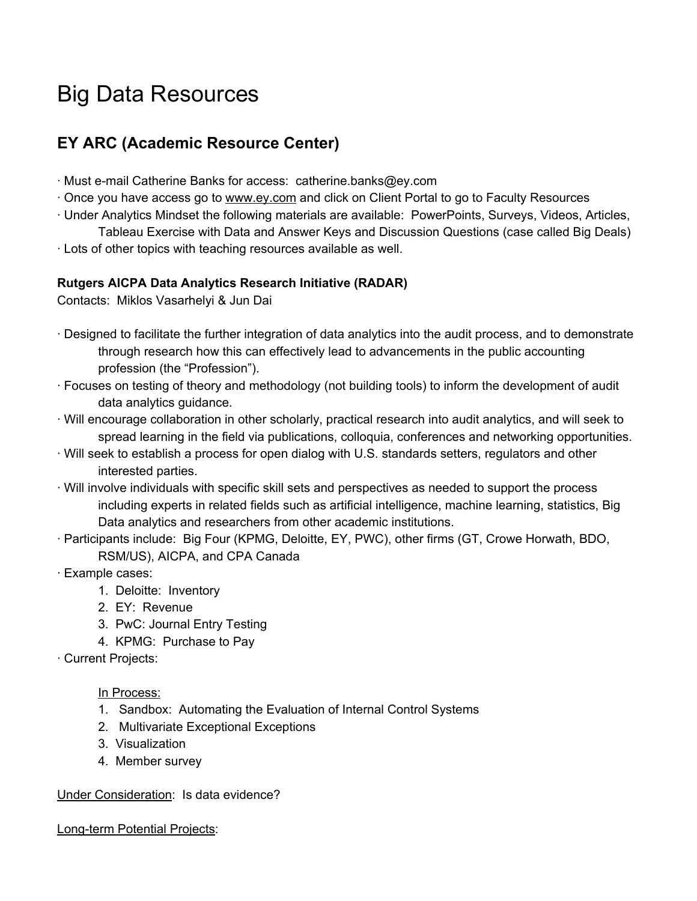# <span id="page-2-0"></span>Big Data Resources

### **EY ARC (Academic Resource Center)**

- ∙ Must email Catherine Banks for access: catherine.banks@ey.com
- ∙ Once you have access go to [www.ey.com](http://www.ey.com/) and click on Client Portal to go to Faculty Resources
- ∙ Under Analytics Mindset the following materials are available: PowerPoints, Surveys, Videos, Articles, Tableau Exercise with Data and Answer Keys and Discussion Questions (case called Big Deals)
- ∙ Lots of other topics with teaching resources available as well.

#### **Rutgers AICPA Data Analytics Research Initiative (RADAR)**

Contacts: Miklos Vasarhelyi & Jun Dai

- ∙ Designed to facilitate the further integration of data analytics into the audit process, and to demonstrate through research how this can effectively lead to advancements in the public accounting profession (the "Profession").
- ∙ Focuses on testing of theory and methodology (not building tools) to inform the development of audit data analytics guidance.
- ∙ Will encourage collaboration in other scholarly, practical research into audit analytics, and will seek to spread learning in the field via publications, colloquia, conferences and networking opportunities.
- ∙ Will seek to establish a process for open dialog with U.S. standards setters, regulators and other interested parties.
- ∙ Will involve individuals with specific skill sets and perspectives as needed to support the process including experts in related fields such as artificial intelligence, machine learning, statistics, Big Data analytics and researchers from other academic institutions.
- ∙ Participants include: Big Four (KPMG, Deloitte, EY, PWC), other firms (GT, Crowe Horwath, BDO, RSM/US), AICPA, and CPA Canada
- ∙ Example cases:
	- 1. Deloitte: Inventory
	- 2. EY: Revenue
	- 3. PwC: Journal Entry Testing
	- 4. KPMG: Purchase to Pay
- ∙ Current Projects:

#### In Process:

- 1. Sandbox: Automating the Evaluation of Internal Control Systems
- 2. Multivariate Exceptional Exceptions
- 3. Visualization
- 4. Member survey

Under Consideration: Is data evidence?

Long-term Potential Projects: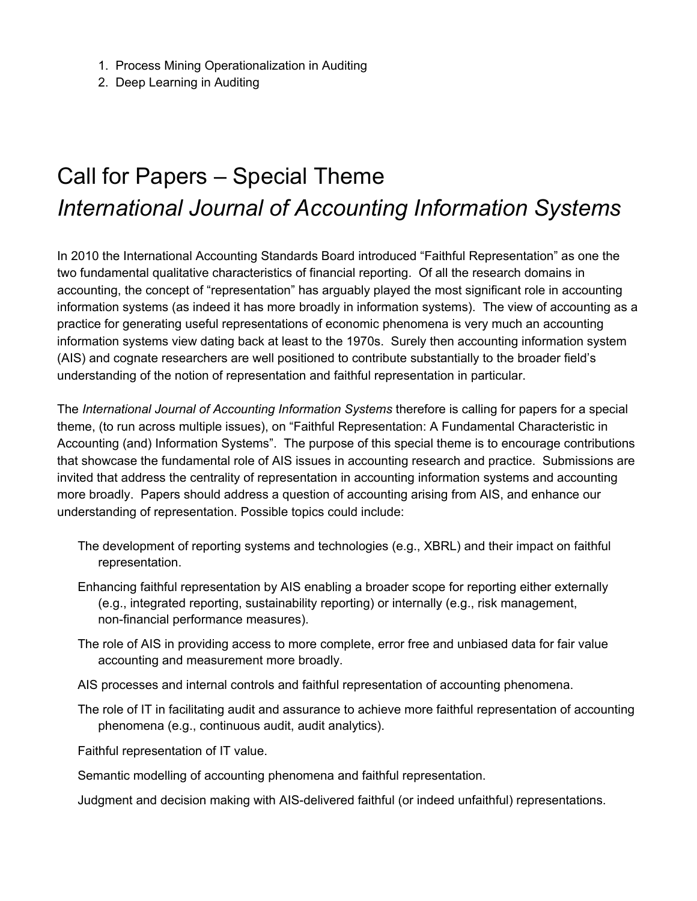- 1. Process Mining Operationalization in Auditing
- <span id="page-3-0"></span>2. Deep Learning in Auditing

# Call for Papers – Special Theme *International Journal of Accounting Information Systems*

In 2010 the International Accounting Standards Board introduced "Faithful Representation" as one the two fundamental qualitative characteristics of financial reporting. Of all the research domains in accounting, the concept of "representation" has arguably played the most significant role in accounting information systems (as indeed it has more broadly in information systems). The view of accounting as a practice for generating useful representations of economic phenomena is very much an accounting information systems view dating back at least to the 1970s. Surely then accounting information system (AIS) and cognate researchers are well positioned to contribute substantially to the broader field's understanding of the notion of representation and faithful representation in particular.

The *International Journal of Accounting Information Systems* therefore is calling for papers for a special theme, (to run across multiple issues), on "Faithful Representation: A Fundamental Characteristic in Accounting (and) Information Systems". The purpose of this special theme is to encourage contributions that showcase the fundamental role of AIS issues in accounting research and practice. Submissions are invited that address the centrality of representation in accounting information systems and accounting more broadly. Papers should address a question of accounting arising from AIS, and enhance our understanding of representation. Possible topics could include:

- The development of reporting systems and technologies (e.g., XBRL) and their impact on faithful representation.
- Enhancing faithful representation by AIS enabling a broader scope for reporting either externally (e.g., integrated reporting, sustainability reporting) or internally (e.g., risk management, non-financial performance measures).
- The role of AIS in providing access to more complete, error free and unbiased data for fair value accounting and measurement more broadly.
- AIS processes and internal controls and faithful representation of accounting phenomena.
- The role of IT in facilitating audit and assurance to achieve more faithful representation of accounting phenomena (e.g., continuous audit, audit analytics).

Faithful representation of IT value.

Semantic modelling of accounting phenomena and faithful representation.

Judgment and decision making with AIS-delivered faithful (or indeed unfaithful) representations.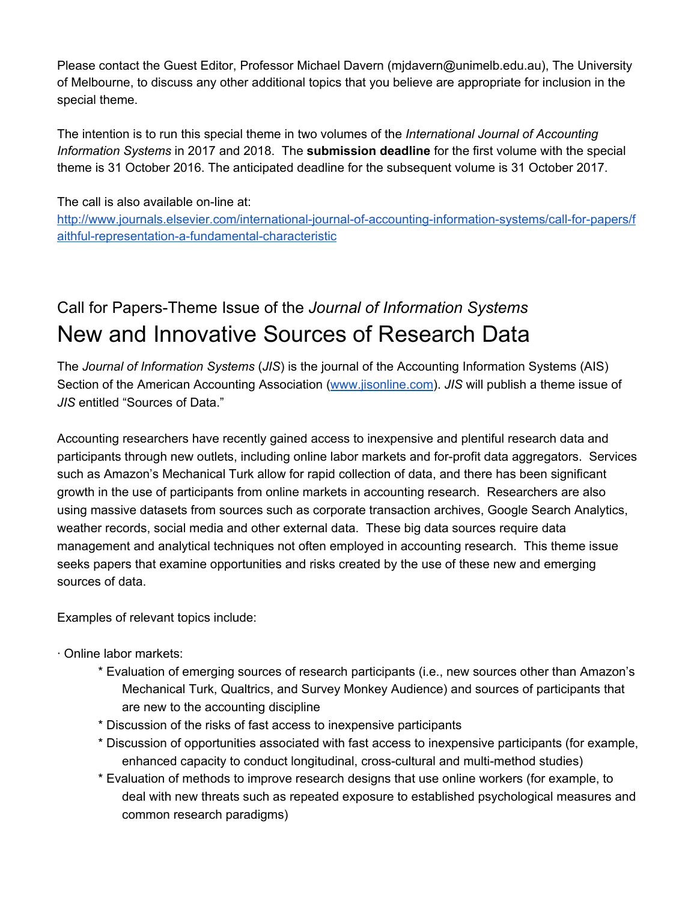Please contact the Guest Editor, Professor Michael Davern (mjdavern@unimelb.edu.au), The University of Melbourne, to discuss any other additional topics that you believe are appropriate for inclusion in the special theme.

The intention is to run this special theme in two volumes of the *International Journal of Accounting Information Systems* in 2017 and 2018. The **submission deadline** for the first volume with the special theme is 31 October 2016. The anticipated deadline for the subsequent volume is 31 October 2017.

The call is also available on-line at:

http://www.journals.elsevier.com/international-journal-of-accounting-information-systems/call-for-papers/f aithful-representation-a-fundamental-characteristic

### <span id="page-4-0"></span>Call for PapersTheme Issue of the *Journal of Information Systems* New and Innovative Sources of Research Data

The *Journal of Information Systems* (*JIS*) is the journal of the Accounting Information Systems (AIS) Section of the American Accounting Association [\(www.jisonline.com\)](http://www.jisonline.com/). *JIS* will publish a theme issue of *JIS* entitled "Sources of Data."

Accounting researchers have recently gained access to inexpensive and plentiful research data and participants through new outlets, including online labor markets and for-profit data aggregators. Services such as Amazon's Mechanical Turk allow for rapid collection of data, and there has been significant growth in the use of participants from online markets in accounting research. Researchers are also using massive datasets from sources such as corporate transaction archives, Google Search Analytics, weather records, social media and other external data. These big data sources require data management and analytical techniques not often employed in accounting research. This theme issue seeks papers that examine opportunities and risks created by the use of these new and emerging sources of data.

Examples of relevant topics include:

∙ Online labor markets:

- \* Evaluation of emerging sources of research participants (i.e., new sources other than Amazon's Mechanical Turk, Qualtrics, and Survey Monkey Audience) and sources of participants that are new to the accounting discipline
- \* Discussion of the risks of fast access to inexpensive participants
- \* Discussion of opportunities associated with fast access to inexpensive participants (for example, enhanced capacity to conduct longitudinal, cross-cultural and multi-method studies)
- \* Evaluation of methods to improve research designs that use online workers (for example, to deal with new threats such as repeated exposure to established psychological measures and common research paradigms)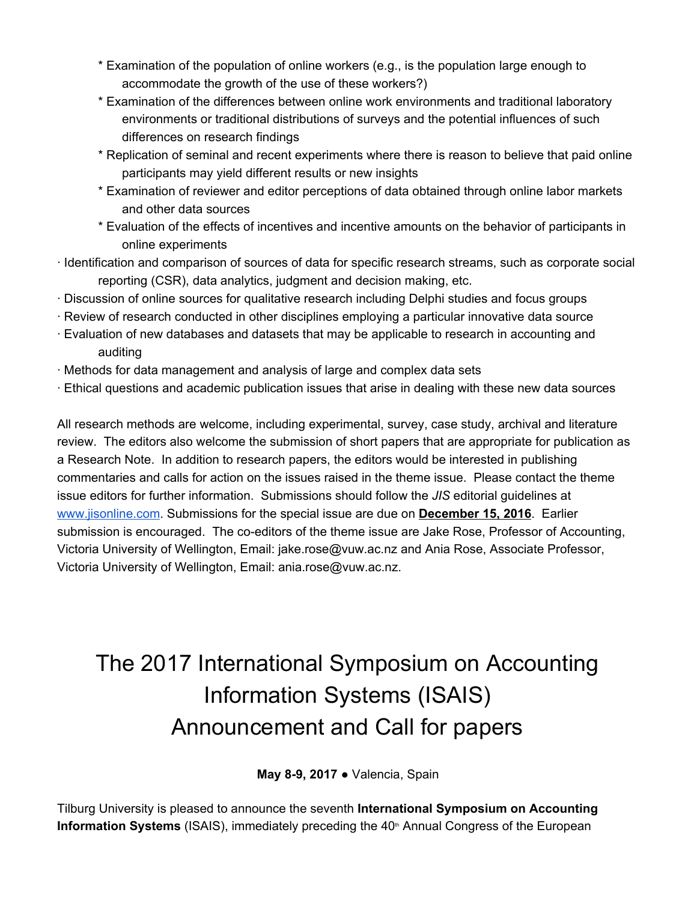- \* Examination of the population of online workers (e.g., is the population large enough to accommodate the growth of the use of these workers?)
- \* Examination of the differences between online work environments and traditional laboratory environments or traditional distributions of surveys and the potential influences of such differences on research findings
- \* Replication of seminal and recent experiments where there is reason to believe that paid online participants may yield different results or new insights
- \* Examination of reviewer and editor perceptions of data obtained through online labor markets and other data sources
- \* Evaluation of the effects of incentives and incentive amounts on the behavior of participants in online experiments
- ∙ Identification and comparison of sources of data for specific research streams, such as corporate social reporting (CSR), data analytics, judgment and decision making, etc.
- ∙ Discussion of online sources for qualitative research including Delphi studies and focus groups
- ∙ Review of research conducted in other disciplines employing a particular innovative data source
- ∙ Evaluation of new databases and datasets that may be applicable to research in accounting and auditing
- ∙ Methods for data management and analysis of large and complex data sets
- ∙ Ethical questions and academic publication issues that arise in dealing with these new data sources

All research methods are welcome, including experimental, survey, case study, archival and literature review. The editors also welcome the submission of short papers that are appropriate for publication as a Research Note. In addition to research papers, the editors would be interested in publishing commentaries and calls for action on the issues raised in the theme issue. Please contact the theme issue editors for further information. Submissions should follow the *JIS* editorial guidelines at [www.jisonline.com.](http://www.jisonline.com/) Submissions for the special issue are due on **December 15, 2016**. Earlier submission is encouraged. The co-editors of the theme issue are Jake Rose, Professor of Accounting, Victoria University of Wellington, Email: jake.rose@vuw.ac.nz and Ania Rose, Associate Professor, Victoria University of Wellington, Email: ania.rose@vuw.ac.nz.

# <span id="page-5-0"></span>The 2017 International Symposium on Accounting Information Systems (ISAIS) Announcement and Call for papers

#### **May 8-9, 2017 ● Valencia, Spain**

Tilburg University is pleased to announce the seventh **International Symposium on Accounting Information Systems** (ISAIS), immediately preceding the 40<sup>th</sup> Annual Congress of the European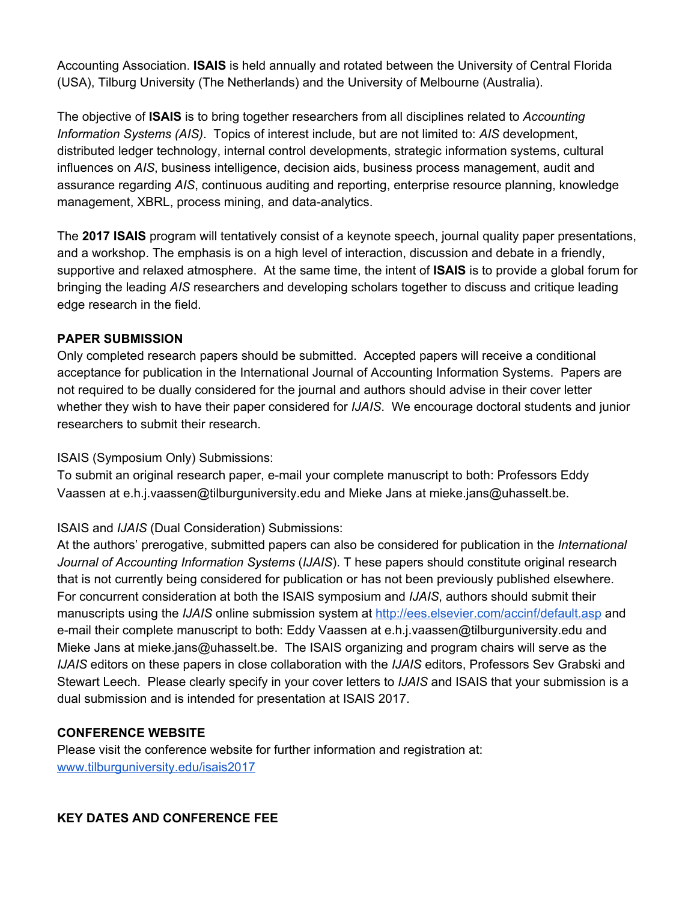Accounting Association. **ISAIS** is held annually and rotated between the University of Central Florida (USA), Tilburg University (The Netherlands) and the University of Melbourne (Australia).

The objective of **ISAIS** is to bring together researchers from all disciplines related to *Accounting Information Systems (AIS)*. Topics of interest include, but are not limited to: *AIS* development, distributed ledger technology, internal control developments, strategic information systems, cultural influences on *AIS*, business intelligence, decision aids, business process management, audit and assurance regarding *AIS*, continuous auditing and reporting, enterprise resource planning, knowledge management, XBRL, process mining, and data-analytics.

The **2017 ISAIS** program will tentatively consist of a keynote speech, journal quality paper presentations, and a workshop. The emphasis is on a high level of interaction, discussion and debate in a friendly, supportive and relaxed atmosphere. At the same time, the intent of **ISAIS** is to provide a global forum for bringing the leading *AIS* researchers and developing scholars together to discuss and critique leading edge research in the field.

#### **PAPER SUBMISSION**

Only completed research papers should be submitted. Accepted papers will receive a conditional acceptance for publication in the International Journal of Accounting Information Systems. Papers are not required to be dually considered for the journal and authors should advise in their cover letter whether they wish to have their paper considered for *IJAIS*. We encourage doctoral students and junior researchers to submit their research.

#### ISAIS (Symposium Only) Submissions:

To submit an original research paper, e-mail your complete manuscript to both: Professors Eddy Vaassen at e.h.j.vaassen@tilburguniversity.edu and Mieke Jans at mieke.jans@uhasselt.be.

#### ISAIS and *IJAIS* (Dual Consideration) Submissions:

At the authors' prerogative, submitted papers can also be considered for publication in the *International Journal of Accounting Information Systems* (*IJAIS*). T hese papers should constitute original research that is not currently being considered for publication or has not been previously published elsewhere. For concurrent consideration at both the ISAIS symposium and *IJAIS*, authors should submit their manuscripts using the *IJAIS* online submission system at <http://ees.elsevier.com/accinf/default.asp> and e-mail their complete manuscript to both: Eddy Vaassen at e.h.j.vaassen@tilburguniversity.edu and Mieke Jans at mieke.jans@uhasselt.be. The ISAIS organizing and program chairs will serve as the *IJAIS* editors on these papers in close collaboration with the *IJAIS* editors, Professors Sev Grabski and Stewart Leech. Please clearly specify in your cover letters to *IJAIS* and ISAIS that your submission is a dual submission and is intended for presentation at ISAIS 2017.

#### **CONFERENCE WEBSITE**

Please visit the conference website for further information and registration at[:](http://www.tilburguniversity.edu/isais2017) [www.tilburguniversity.edu/isais2017](http://www.tilburguniversity.edu/isais2017)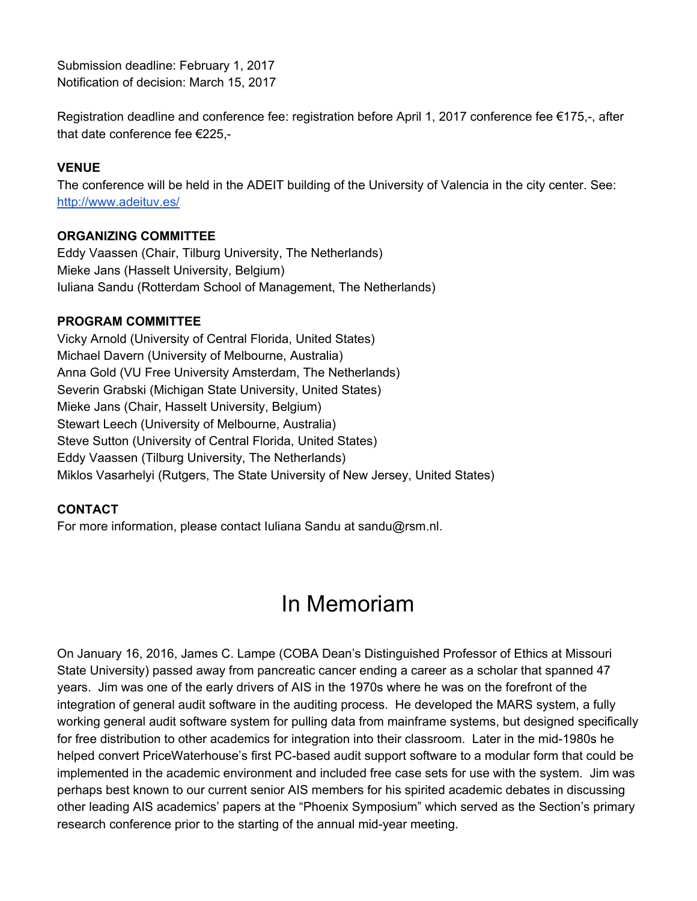Submission deadline: February 1, 2017 Notification of decision: March 15, 2017

Registration deadline and conference fee: registration before April 1, 2017 conference fee  $\epsilon$ 175,-, after that date conference fee €225,

#### **VENUE**

The conference will be held in the ADEIT building of the University of Valencia in the city center. See[:](http://www.adeituv.es/) <http://www.adeituv.es/>

#### **ORGANIZING COMMITTEE**

Eddy Vaassen (Chair, Tilburg University, The Netherlands) Mieke Jans (Hasselt University, Belgium) Iuliana Sandu (Rotterdam School of Management, The Netherlands)

#### **PROGRAM COMMITTEE**

Vicky Arnold (University of Central Florida, United States) Michael Davern (University of Melbourne, Australia) Anna Gold (VU Free University Amsterdam, The Netherlands) Severin Grabski (Michigan State University, United States) Mieke Jans (Chair, Hasselt University, Belgium) Stewart Leech (University of Melbourne, Australia) Steve Sutton (University of Central Florida, United States) Eddy Vaassen (Tilburg University, The Netherlands) Miklos Vasarhelyi (Rutgers, The State University of New Jersey, United States)

#### **CONTACT**

<span id="page-7-0"></span>For more information, please contact Iuliana Sandu at sandu@rsm.nl.

### In Memoriam

On January 16, 2016, James C. Lampe (COBA Dean's Distinguished Professor of Ethics at Missouri State University) passed away from pancreatic cancer ending a career as a scholar that spanned 47 years. Jim was one of the early drivers of AIS in the 1970s where he was on the forefront of the integration of general audit software in the auditing process. He developed the MARS system, a fully working general audit software system for pulling data from mainframe systems, but designed specifically for free distribution to other academics for integration into their classroom. Later in the mid-1980s he helped convert PriceWaterhouse's first PC-based audit support software to a modular form that could be implemented in the academic environment and included free case sets for use with the system. Jim was perhaps best known to our current senior AIS members for his spirited academic debates in discussing other leading AIS academics' papers at the "Phoenix Symposium" which served as the Section's primary research conference prior to the starting of the annual mid-year meeting.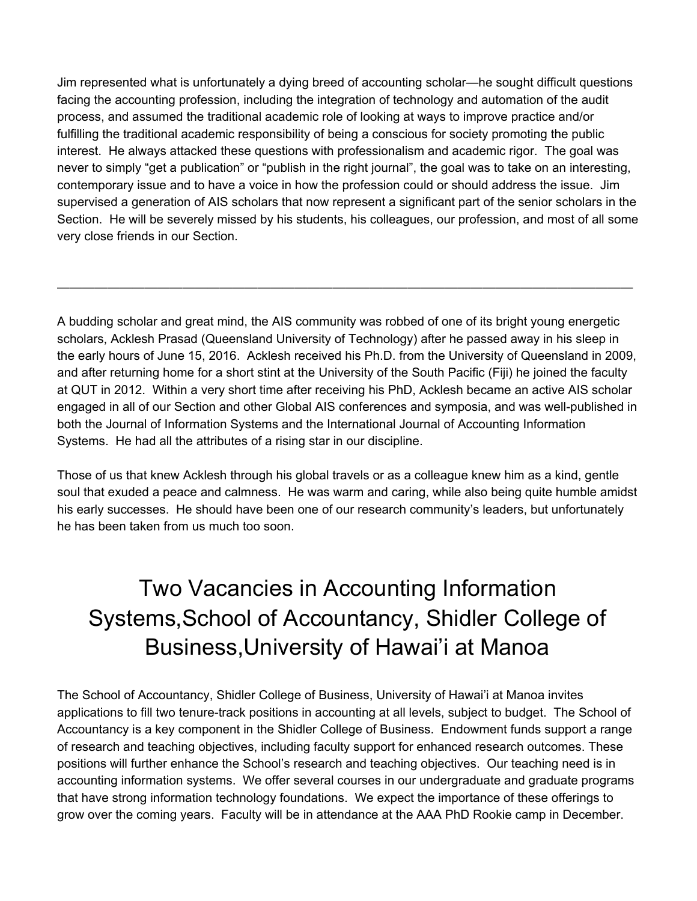Jim represented what is unfortunately a dying breed of accounting scholar—he sought difficult questions facing the accounting profession, including the integration of technology and automation of the audit process, and assumed the traditional academic role of looking at ways to improve practice and/or fulfilling the traditional academic responsibility of being a conscious for society promoting the public interest. He always attacked these questions with professionalism and academic rigor. The goal was never to simply "get a publication" or "publish in the right journal", the goal was to take on an interesting, contemporary issue and to have a voice in how the profession could or should address the issue. Jim supervised a generation of AIS scholars that now represent a significant part of the senior scholars in the Section. He will be severely missed by his students, his colleagues, our profession, and most of all some very close friends in our Section.

A budding scholar and great mind, the AIS community was robbed of one of its bright young energetic scholars, Acklesh Prasad (Queensland University of Technology) after he passed away in his sleep in the early hours of June 15, 2016. Acklesh received his Ph.D. from the University of Queensland in 2009, and after returning home for a short stint at the University of the South Pacific (Fiji) he joined the faculty at QUT in 2012. Within a very short time after receiving his PhD, Acklesh became an active AIS scholar engaged in all of our Section and other Global AIS conferences and symposia, and was well-published in both the Journal of Information Systems and the International Journal of Accounting Information Systems. He had all the attributes of a rising star in our discipline.

——————————————————————————————————————————————

Those of us that knew Acklesh through his global travels or as a colleague knew him as a kind, gentle soul that exuded a peace and calmness. He was warm and caring, while also being quite humble amidst his early successes. He should have been one of our research community's leaders, but unfortunately he has been taken from us much too soon.

# <span id="page-8-0"></span>Two Vacancies in Accounting Information Systems,School of Accountancy, Shidler College of Business,University of Hawai'i at Manoa

The School of Accountancy, Shidler College of Business, University of Hawai'i at Manoa invites applications to fill two tenure-track positions in accounting at all levels, subject to budget. The School of Accountancy is a key component in the Shidler College of Business. Endowment funds support a range of research and teaching objectives, including faculty support for enhanced research outcomes. These positions will further enhance the School's research and teaching objectives. Our teaching need is in accounting information systems. We offer several courses in our undergraduate and graduate programs that have strong information technology foundations. We expect the importance of these offerings to grow over the coming years. Faculty will be in attendance at the AAA PhD Rookie camp in December.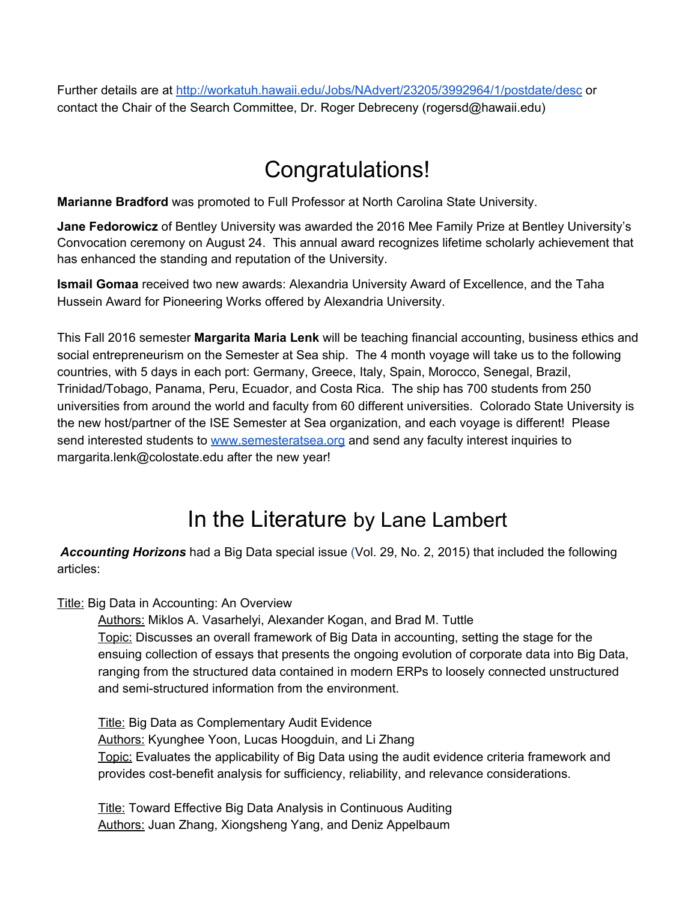<span id="page-9-0"></span>Further details are at <http://workatuh.hawaii.edu/Jobs/NAdvert/23205/3992964/1/postdate/desc> or contact the Chair of the Search Committee, Dr. Roger Debreceny (rogersd@hawaii.edu)

### Congratulations!

**Marianne Bradford** was promoted to Full Professor at North Carolina State University.

**Jane Fedorowicz** of Bentley University was awarded the 2016 Mee Family Prize at Bentley University's Convocation ceremony on August 24. This annual award recognizes lifetime scholarly achievement that has enhanced the standing and reputation of the University.

**Ismail Gomaa** received two new awards: Alexandria University Award of Excellence, and the Taha Hussein Award for Pioneering Works offered by Alexandria University.

This Fall 2016 semester **Margarita Maria Lenk** will be teaching financial accounting, business ethics and social entrepreneurism on the Semester at Sea ship. The 4 month voyage will take us to the following countries, with 5 days in each port: Germany, Greece, Italy, Spain, Morocco, Senegal, Brazil, Trinidad/Tobago, Panama, Peru, Ecuador, and Costa Rica. The ship has 700 students from 250 universities from around the world and faculty from 60 different universities. Colorado State University is the new host/partner of the ISE Semester at Sea organization, and each voyage is different! Please send interested students to [www.semesteratsea.org](http://www.semesteratsea.org/) and send any faculty interest inquiries to margarita.lenk@colostate.edu after the new year!

### In the Literature by Lane Lambert

<span id="page-9-1"></span> *Accounting Horizons* had a Big Data special issue (Vol. 29, No. 2, 2015) that included the following articles:

Title: Big Data in Accounting: An Overview

Authors: Miklos A. Vasarhelyi, Alexander Kogan, and Brad M. Tuttle Topic: Discusses an overall framework of Big Data in accounting, setting the stage for the ensuing collection of essays that presents the ongoing evolution of corporate data into Big Data, ranging from the structured data contained in modern ERPs to loosely connected unstructured and semi-structured information from the environment.

Title: Big Data as Complementary Audit Evidence Authors: Kyunghee Yoon, Lucas Hoogduin, and Li Zhang Topic: Evaluates the applicability of Big Data using the audit evidence criteria framework and provides cost-benefit analysis for sufficiency, reliability, and relevance considerations.

Title: Toward Effective Big Data Analysis in Continuous Auditing Authors: Juan Zhang, Xiongsheng Yang, and Deniz Appelbaum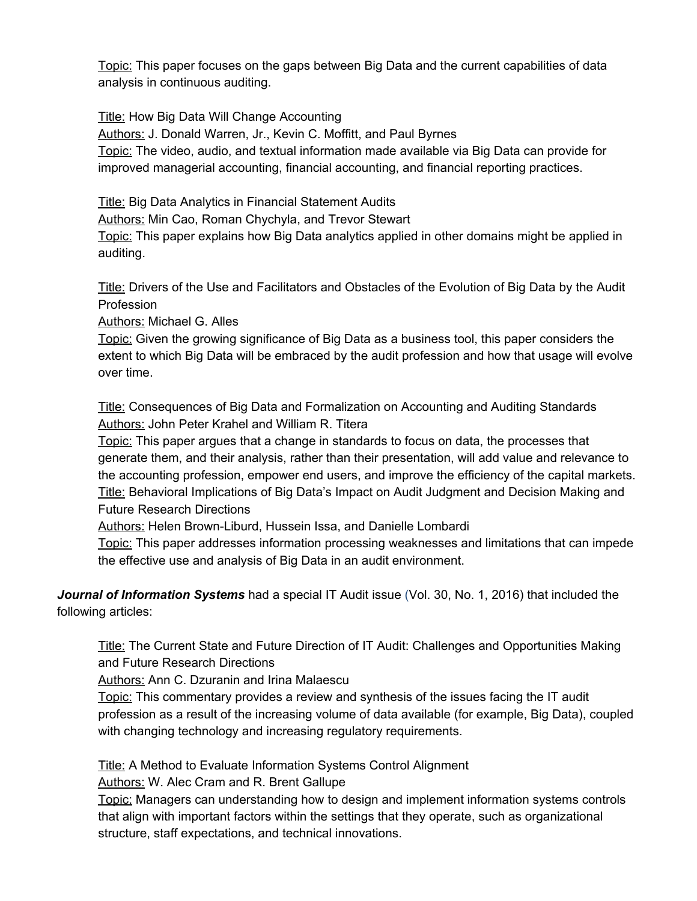Topic: This paper focuses on the gaps between Big Data and the current capabilities of data analysis in continuous auditing.

Title: How Big Data Will Change Accounting

Authors: J. Donald Warren, Jr., Kevin C. Moffitt, and Paul Byrnes

Topic: The video, audio, and textual information made available via Big Data can provide for improved managerial accounting, financial accounting, and financial reporting practices.

Title: Big Data Analytics in Financial Statement Audits

Authors: Min Cao, Roman Chychyla, and Trevor Stewart

Topic: This paper explains how Big Data analytics applied in other domains might be applied in auditing.

Title: Drivers of the Use and Facilitators and Obstacles of the Evolution of Big Data by the Audit **Profession** 

Authors: Michael G. Alles

Topic: Given the growing significance of Big Data as a business tool, this paper considers the extent to which Big Data will be embraced by the audit profession and how that usage will evolve over time.

Title: Consequences of Big Data and Formalization on Accounting and Auditing Standards Authors: John Peter Krahel and William R. Titera

Topic: This paper argues that a change in standards to focus on data, the processes that generate them, and their analysis, rather than their presentation, will add value and relevance to the accounting profession, empower end users, and improve the efficiency of the capital markets. Title: Behavioral Implications of Big Data's Impact on Audit Judgment and Decision Making and Future Research Directions

Authors: Helen Brown-Liburd, Hussein Issa, and Danielle Lombardi

Topic: This paper addresses information processing weaknesses and limitations that can impede the effective use and analysis of Big Data in an audit environment.

 *Journal of Information Systems* had a special IT Audit issue (Vol. 30, No. 1, 2016) that included the following articles:

Title: The Current State and Future Direction of IT Audit: Challenges and Opportunities Making and Future Research Directions

Authors: Ann C. Dzuranin and Irina Malaescu

Topic: This commentary provides a review and synthesis of the issues facing the IT audit profession as a result of the increasing volume of data available (for example, Big Data), coupled with changing technology and increasing regulatory requirements.

Title: A Method to Evaluate Information Systems Control Alignment Authors: W. Alec Cram and R. Brent Gallupe

Topic: Managers can understanding how to design and implement information systems controls that align with important factors within the settings that they operate, such as organizational structure, staff expectations, and technical innovations.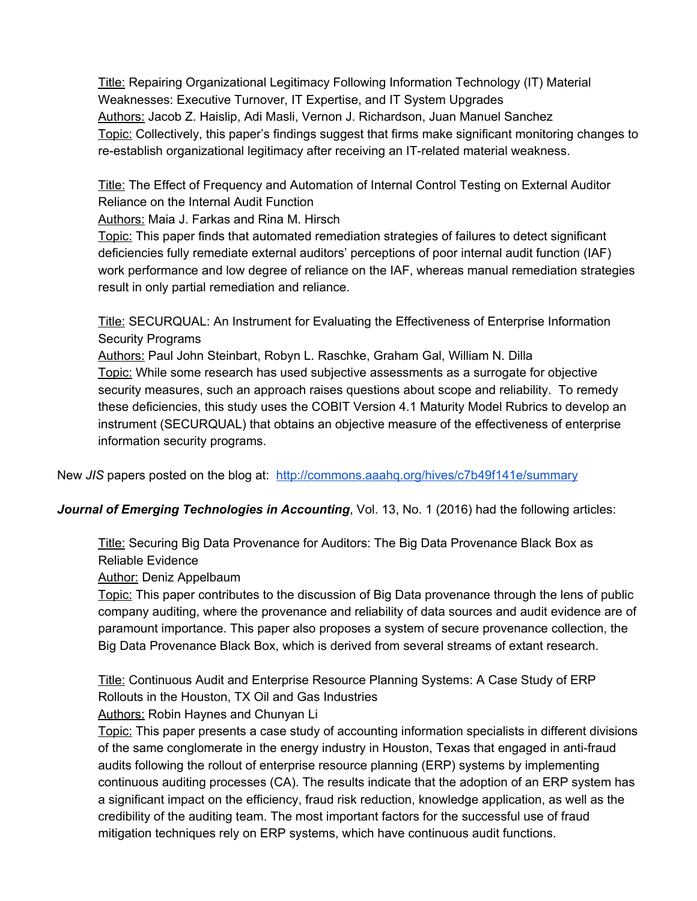Title: Repairing Organizational Legitimacy Following Information Technology (IT) Material Weaknesses: Executive Turnover, IT Expertise, and IT System Upgrades Authors: Jacob Z. Haislip, Adi Masli, Vernon J. Richardson, Juan Manuel Sanchez Topic: Collectively, this paper's findings suggest that firms make significant monitoring changes to re-establish organizational legitimacy after receiving an IT-related material weakness.

Title: The Effect of Frequency and Automation of Internal Control Testing on External Auditor Reliance on the Internal Audit Function

Authors: Maia J. Farkas and Rina M. Hirsch

Topic: This paper finds that automated remediation strategies of failures to detect significant deficiencies fully remediate external auditors' perceptions of poor internal audit function (IAF) work performance and low degree of reliance on the IAF, whereas manual remediation strategies result in only partial remediation and reliance.

Title: SECURQUAL: An Instrument for Evaluating the Effectiveness of Enterprise Information Security Programs

Authors: Paul John Steinbart, Robyn L. Raschke, Graham Gal, William N. Dilla Topic: While some research has used subjective assessments as a surrogate for objective security measures, such an approach raises questions about scope and reliability. To remedy these deficiencies, this study uses the COBIT Version 4.1 Maturity Model Rubrics to develop an instrument (SECURQUAL) that obtains an objective measure of the effectiveness of enterprise information security programs.

New *JIS* papers posted on the blog at: <http://commons.aaahq.org/hives/c7b49f141e/summary>

*Journal of Emerging Technologies in Accounting*, Vol. 13, No. 1 (2016) had the following articles:

Title: Securing Big Data Provenance for Auditors: The Big Data Provenance Black Box as Reliable Evidence

Author: Deniz Appelbaum

Topic: This paper contributes to the discussion of Big Data provenance through the lens of public company auditing, where the provenance and reliability of data sources and audit evidence are of paramount importance. This paper also proposes a system of secure provenance collection, the Big Data Provenance Black Box, which is derived from several streams of extant research.

Title: Continuous Audit and Enterprise Resource Planning Systems: A Case Study of ERP Rollouts in the Houston, TX Oil and Gas Industries

Authors: Robin Haynes and Chunyan Li

Topic: This paper presents a case study of accounting information specialists in different divisions of the same conglomerate in the energy industry in Houston, Texas that engaged in anti-fraud audits following the rollout of enterprise resource planning (ERP) systems by implementing continuous auditing processes (CA). The results indicate that the adoption of an ERP system has a significant impact on the efficiency, fraud risk reduction, knowledge application, as well as the credibility of the auditing team. The most important factors for the successful use of fraud mitigation techniques rely on ERP systems, which have continuous audit functions.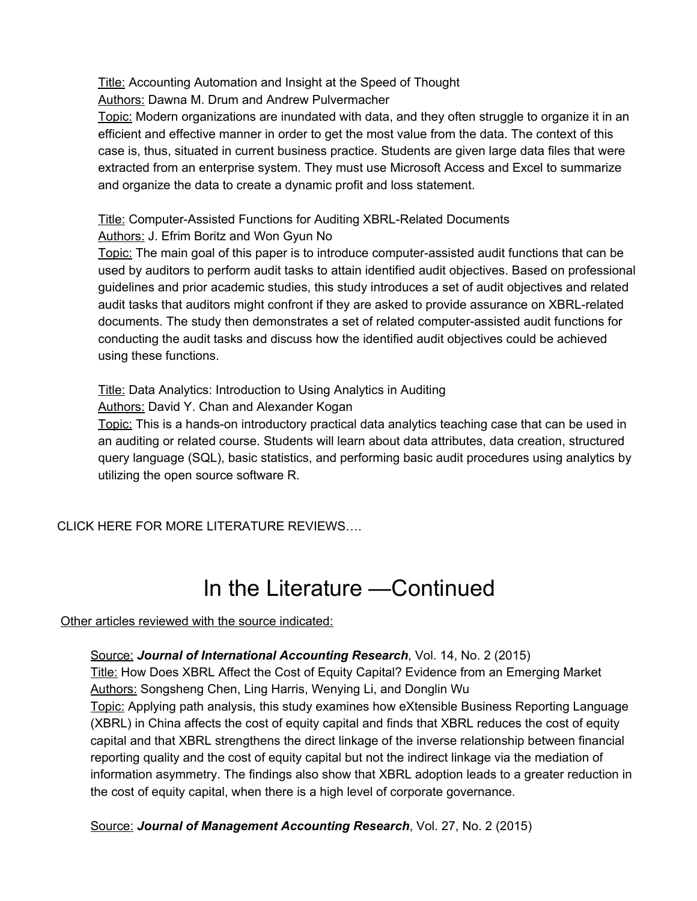Title: Accounting Automation and Insight at the Speed of Thought

Authors: Dawna M. Drum and Andrew Pulvermacher

Topic: Modern organizations are inundated with data, and they often struggle to organize it in an efficient and effective manner in order to get the most value from the data. The context of this case is, thus, situated in current business practice. Students are given large data files that were extracted from an enterprise system. They must use Microsoft Access and Excel to summarize and organize the data to create a dynamic profit and loss statement.

Title: Computer-Assisted Functions for Auditing XBRL-Related Documents Authors: J. Efrim Boritz and Won Gyun No

Topic: The main goal of this paper is to introduce computer-assisted audit functions that can be used by auditors to perform audit tasks to attain identified audit objectives. Based on professional guidelines and prior academic studies, this study introduces a set of audit objectives and related audit tasks that auditors might confront if they are asked to provide assurance on XBRL-related documents. The study then demonstrates a set of related computer-assisted audit functions for conducting the audit tasks and discuss how the identified audit objectives could be achieved using these functions.

Title: Data Analytics: Introduction to Using Analytics in Auditing

Authors: David Y. Chan and Alexander Kogan

Topic: This is a hands-on introductory practical data analytics teaching case that can be used in an auditing or related course. Students will learn about data attributes, data creation, structured query language (SQL), basic statistics, and performing basic audit procedures using analytics by utilizing the open source software R.

<span id="page-12-0"></span>CLICK HERE FOR MORE LITERATURE REVIEWS….

# In the Literature —Continued

Other articles reviewed with the source indicated:

 Source: *Journal of International Accounting Research*, Vol. 14, No. 2 (2015) Title: How Does XBRL Affect the Cost of Equity Capital? Evidence from an Emerging Market Authors: Songsheng Chen, Ling Harris, Wenying Li, and Donglin Wu Topic: Applying path analysis, this study examines how eXtensible Business Reporting Language (XBRL) in China affects the cost of equity capital and finds that XBRL reduces the cost of equity capital and that XBRL strengthens the direct linkage of the inverse relationship between financial reporting quality and the cost of equity capital but not the indirect linkage via the mediation of information asymmetry. The findings also show that XBRL adoption leads to a greater reduction in the cost of equity capital, when there is a high level of corporate governance.

Source: *Journal of Management Accounting Research*, Vol. 27, No. 2 (2015)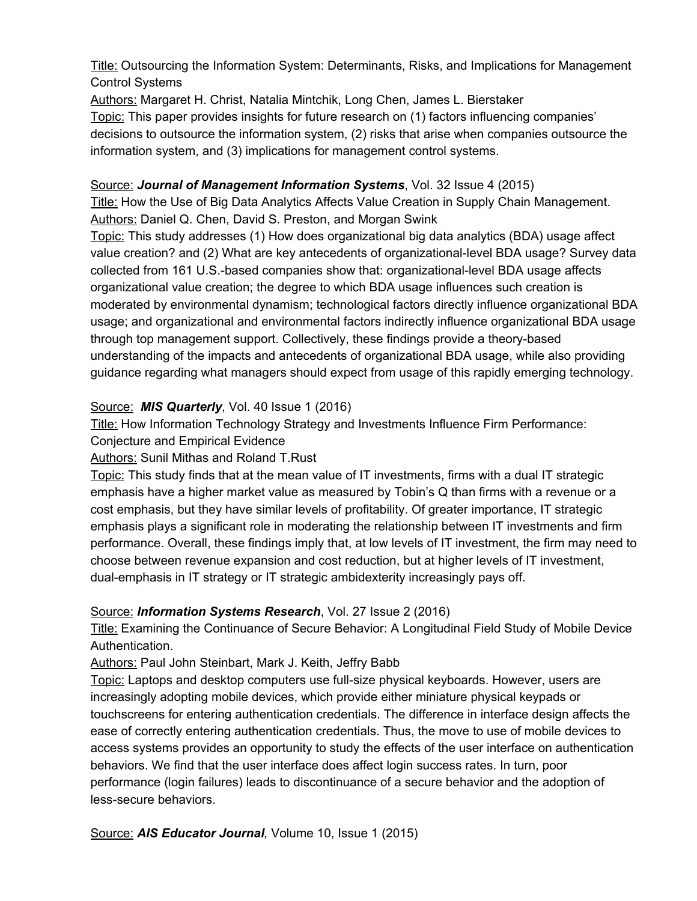Title: Outsourcing the Information System: Determinants, Risks, and Implications for Management Control Systems

Authors: Margaret H. Christ, Natalia Mintchik, Long Chen, James L. Bierstaker Topic: This paper provides insights for future research on (1) factors influencing companies' decisions to outsource the information system, (2) risks that arise when companies outsource the information system, and (3) implications for management control systems.

#### Source: *Journal of Management Information Systems*, Vol. 32 Issue 4 (2015)

Title: How the Use of Big Data Analytics Affects Value Creation in Supply Chain Management. Authors: Daniel Q. Chen, David S. Preston, and Morgan Swink

Topic: This study addresses (1) How does organizational big data analytics (BDA) usage affect value creation? and (2) What are key antecedents of organizational-level BDA usage? Survey data collected from 161 U.S.-based companies show that: organizational-level BDA usage affects organizational value creation; the degree to which BDA usage influences such creation is moderated by environmental dynamism; technological factors directly influence organizational BDA usage; and organizational and environmental factors indirectly influence organizational BDA usage through top management support. Collectively, these findings provide a theory-based understanding of the impacts and antecedents of organizational BDA usage, while also providing guidance regarding what managers should expect from usage of this rapidly emerging technology.

#### Source: *MIS Quarterly*, Vol. 40 Issue 1 (2016)

**Title:** How Information Technology Strategy and Investments Influence Firm Performance:

Conjecture and Empirical Evidence

#### Authors: Sunil Mithas and Roland T.Rust

Topic: This study finds that at the mean value of IT investments, firms with a dual IT strategic emphasis have a higher market value as measured by Tobin's Q than firms with a revenue or a cost emphasis, but they have similar levels of profitability. Of greater importance, IT strategic emphasis plays a significant role in moderating the relationship between IT investments and firm performance. Overall, these findings imply that, at low levels of IT investment, the firm may need to choose between revenue expansion and cost reduction, but at higher levels of IT investment, dualemphasis in IT strategy or IT strategic ambidexterity increasingly pays off.

#### Source: *Information Systems Research*, Vol. 27 Issue 2 (2016)

Title: Examining the Continuance of Secure Behavior: A Longitudinal Field Study of Mobile Device Authentication.

#### Authors: Paul John Steinbart, Mark J. Keith, Jeffry Babb

Topic: Laptops and desktop computers use full-size physical keyboards. However, users are increasingly adopting mobile devices, which provide either miniature physical keypads or touchscreens for entering authentication credentials. The difference in interface design affects the ease of correctly entering authentication credentials. Thus, the move to use of mobile devices to access systems provides an opportunity to study the effects of the user interface on authentication behaviors. We find that the user interface does affect login success rates. In turn, poor performance (login failures) leads to discontinuance of a secure behavior and the adoption of less-secure behaviors.

Source: *AIS Educator Journal,* Volume 10, Issue 1 (2015)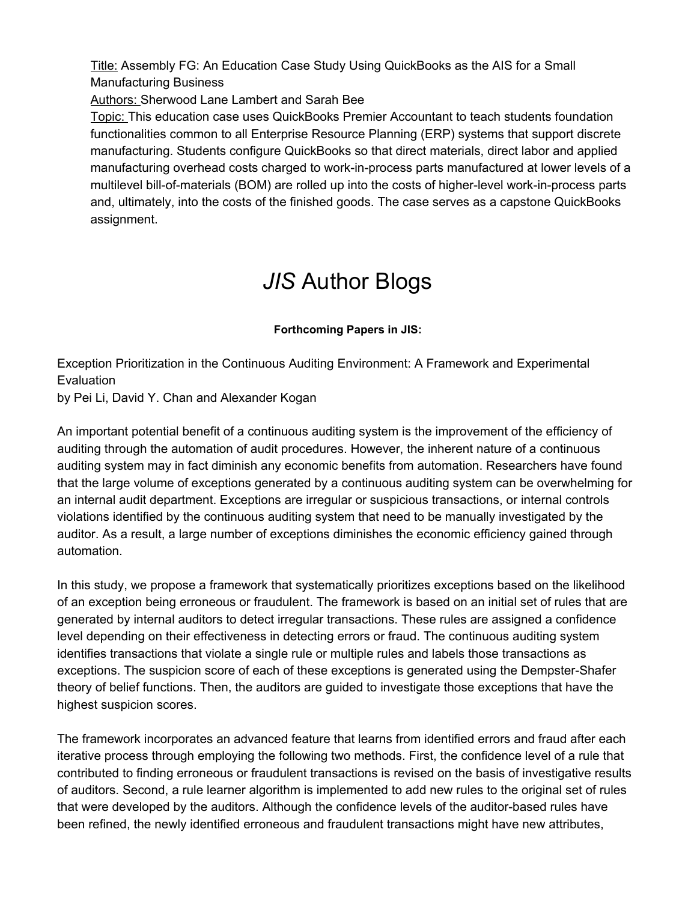Title: Assembly FG: An Education Case Study Using QuickBooks as the AIS for a Small Manufacturing Business

Authors: Sherwood Lane Lambert and Sarah Bee

Topic: This education case uses QuickBooks Premier Accountant to teach students foundation functionalities common to all Enterprise Resource Planning (ERP) systems that support discrete manufacturing. Students configure QuickBooks so that direct materials, direct labor and applied manufacturing overhead costs charged to work-in-process parts manufactured at lower levels of a multilevel bill-of-materials (BOM) are rolled up into the costs of higher-level work-in-process parts and, ultimately, into the costs of the finished goods. The case serves as a capstone QuickBooks assignment.

### *JIS* Author Blogs

#### **Forthcoming Papers in JIS:**

<span id="page-14-0"></span>Exception Prioritization in the Continuous Auditing Environment: A Framework and Experimental **Evaluation** 

by Pei Li, David Y. Chan and Alexander Kogan

An important potential benefit of a continuous auditing system is the improvement of the efficiency of auditing through the automation of audit procedures. However, the inherent nature of a continuous auditing system may in fact diminish any economic benefits from automation. Researchers have found that the large volume of exceptions generated by a continuous auditing system can be overwhelming for an internal audit department. Exceptions are irregular or suspicious transactions, or internal controls violations identified by the continuous auditing system that need to be manually investigated by the auditor. As a result, a large number of exceptions diminishes the economic efficiency gained through automation.

In this study, we propose a framework that systematically prioritizes exceptions based on the likelihood of an exception being erroneous or fraudulent. The framework is based on an initial set of rules that are generated by internal auditors to detect irregular transactions. These rules are assigned a confidence level depending on their effectiveness in detecting errors or fraud. The continuous auditing system identifies transactions that violate a single rule or multiple rules and labels those transactions as exceptions. The suspicion score of each of these exceptions is generated using the Dempster-Shafer theory of belief functions. Then, the auditors are guided to investigate those exceptions that have the highest suspicion scores.

The framework incorporates an advanced feature that learns from identified errors and fraud after each iterative process through employing the following two methods. First, the confidence level of a rule that contributed to finding erroneous or fraudulent transactions is revised on the basis of investigative results of auditors. Second, a rule learner algorithm is implemented to add new rules to the original set of rules that were developed by the auditors. Although the confidence levels of the auditor-based rules have been refined, the newly identified erroneous and fraudulent transactions might have new attributes,